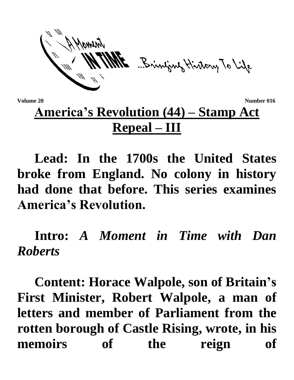ME Brinjang History To Life

**Volume 20** Number 016

## **America's Revolution (44) – Stamp Act Repeal – III**

**Lead: In the 1700s the United States broke from England. No colony in history had done that before. This series examines America's Revolution.**

**Intro:** *A Moment in Time with Dan Roberts*

**Content: Horace Walpole, son of Britain's First Minister, Robert Walpole, a man of letters and member of Parliament from the rotten borough of Castle Rising, wrote, in his memoirs of the reign of**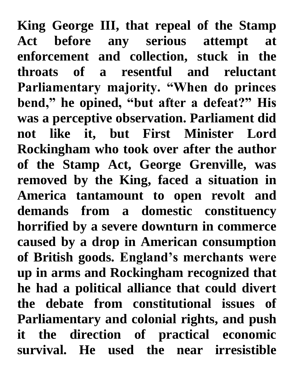**King George III, that repeal of the Stamp Act before any serious attempt at enforcement and collection, stuck in the throats of a resentful and reluctant Parliamentary majority. "When do princes bend," he opined, "but after a defeat?" His was a perceptive observation. Parliament did not like it, but First Minister Lord Rockingham who took over after the author of the Stamp Act, George Grenville, was removed by the King, faced a situation in America tantamount to open revolt and demands from a domestic constituency horrified by a severe downturn in commerce caused by a drop in American consumption of British goods. England's merchants were up in arms and Rockingham recognized that he had a political alliance that could divert the debate from constitutional issues of Parliamentary and colonial rights, and push it the direction of practical economic survival. He used the near irresistible**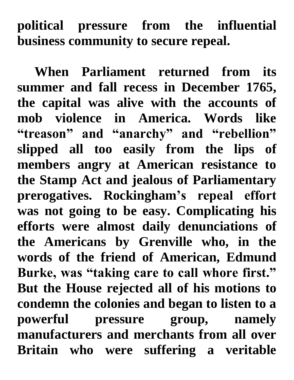**political pressure from the influential business community to secure repeal.**

**When Parliament returned from its summer and fall recess in December 1765, the capital was alive with the accounts of mob violence in America. Words like "treason" and "anarchy" and "rebellion" slipped all too easily from the lips of members angry at American resistance to the Stamp Act and jealous of Parliamentary prerogatives. Rockingham's repeal effort was not going to be easy. Complicating his efforts were almost daily denunciations of the Americans by Grenville who, in the words of the friend of American, Edmund Burke, was "taking care to call whore first." But the House rejected all of his motions to condemn the colonies and began to listen to a powerful pressure group, namely manufacturers and merchants from all over Britain who were suffering a veritable**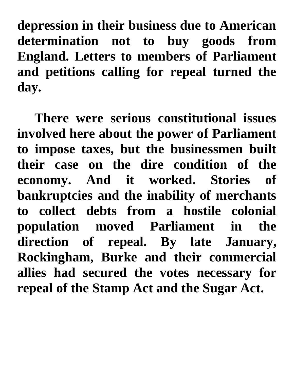**depression in their business due to American determination not to buy goods from England. Letters to members of Parliament and petitions calling for repeal turned the day.**

**There were serious constitutional issues involved here about the power of Parliament to impose taxes, but the businessmen built their case on the dire condition of the economy. And it worked. Stories of bankruptcies and the inability of merchants to collect debts from a hostile colonial population moved Parliament in the direction of repeal. By late January, Rockingham, Burke and their commercial allies had secured the votes necessary for repeal of the Stamp Act and the Sugar Act.**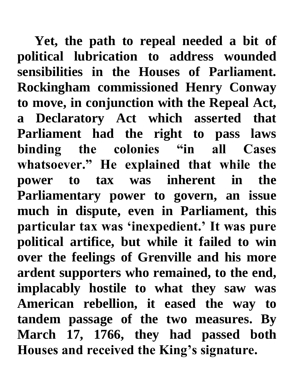**Yet, the path to repeal needed a bit of political lubrication to address wounded sensibilities in the Houses of Parliament. Rockingham commissioned Henry Conway to move, in conjunction with the Repeal Act, a Declaratory Act which asserted that Parliament had the right to pass laws binding the colonies "in all Cases whatsoever." He explained that while the power to tax was inherent in the Parliamentary power to govern, an issue much in dispute, even in Parliament, this particular tax was 'inexpedient.' It was pure political artifice, but while it failed to win over the feelings of Grenville and his more ardent supporters who remained, to the end, implacably hostile to what they saw was American rebellion, it eased the way to tandem passage of the two measures. By March 17, 1766, they had passed both Houses and received the King's signature.**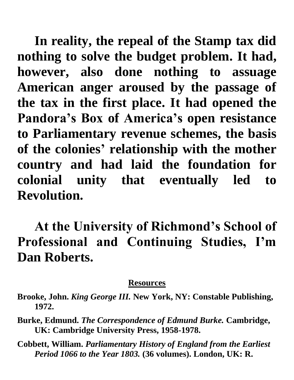**In reality, the repeal of the Stamp tax did nothing to solve the budget problem. It had, however, also done nothing to assuage American anger aroused by the passage of the tax in the first place. It had opened the Pandora's Box of America's open resistance to Parliamentary revenue schemes, the basis of the colonies' relationship with the mother country and had laid the foundation for colonial unity that eventually led to Revolution.**

**At the University of Richmond's School of Professional and Continuing Studies, I'm Dan Roberts.**

## **Resources**

- **Brooke, John.** *King George III.* **New York, NY: Constable Publishing, 1972.**
- **Burke, Edmund.** *The Correspondence of Edmund Burke.* **Cambridge, UK: Cambridge University Press, 1958-1978.**
- **Cobbett, William.** *Parliamentary History of England from the Earliest Period 1066 to the Year 1803.* **(36 volumes). London, UK: R.**